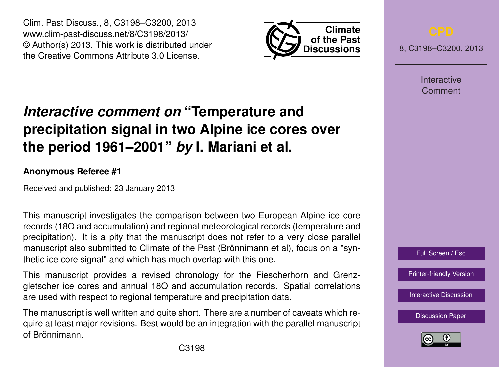Clim. Past Discuss., 8, C3198–C3200, 2013 www.clim-past-discuss.net/8/C3198/2013/ © Author(s) 2013. This work is distributed under the Creative Commons Attribute 3.0 License.



8, C3198–C3200, 2013

**Interactive** Comment

## *Interactive comment on* **"Temperature and precipitation signal in two Alpine ice cores over the period 1961–2001"** *by* **I. Mariani et al.**

## **Anonymous Referee #1**

Received and published: 23 January 2013

This manuscript investigates the comparison between two European Alpine ice core records (18O and accumulation) and regional meteorological records (temperature and precipitation). It is a pity that the manuscript does not refer to a very close parallel manuscript also submitted to Climate of the Past (Brönnimann et al), focus on a "synthetic ice core signal" and which has much overlap with this one.

This manuscript provides a revised chronology for the Fiescherhorn and Grenzgletscher ice cores and annual 18O and accumulation records. Spatial correlations are used with respect to regional temperature and precipitation data.

The manuscript is well written and quite short. There are a number of caveats which require at least major revisions. Best would be an integration with the parallel manuscript of Brönnimann.

Full Screen / Esc

[Printer-friendly Version](http://www.clim-past-discuss.net/8/C3198/2013/cpd-8-C3198-2013-print.pdf)

[Interactive Discussion](http://www.clim-past-discuss.net/8/5867/2012/cpd-8-5867-2012-discussion.html)

[Discussion Paper](http://www.clim-past-discuss.net/8/5867/2012/cpd-8-5867-2012.pdf)

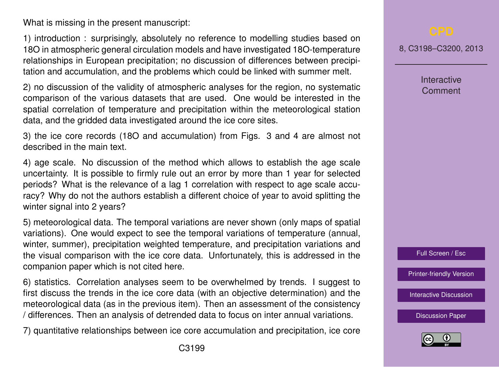What is missing in the present manuscript:

1) introduction : surprisingly, absolutely no reference to modelling studies based on 18O in atmospheric general circulation models and have investigated 18O-temperature relationships in European precipitation; no discussion of differences between precipitation and accumulation, and the problems which could be linked with summer melt.

2) no discussion of the validity of atmospheric analyses for the region, no systematic comparison of the various datasets that are used. One would be interested in the spatial correlation of temperature and precipitation within the meteorological station data, and the gridded data investigated around the ice core sites.

3) the ice core records (18O and accumulation) from Figs. 3 and 4 are almost not described in the main text.

4) age scale. No discussion of the method which allows to establish the age scale uncertainty. It is possible to firmly rule out an error by more than 1 year for selected periods? What is the relevance of a lag 1 correlation with respect to age scale accuracy? Why do not the authors establish a different choice of year to avoid splitting the winter signal into 2 years?

5) meteorological data. The temporal variations are never shown (only maps of spatial variations). One would expect to see the temporal variations of temperature (annual, winter, summer), precipitation weighted temperature, and precipitation variations and the visual comparison with the ice core data. Unfortunately, this is addressed in the companion paper which is not cited here.

6) statistics. Correlation analyses seem to be overwhelmed by trends. I suggest to first discuss the trends in the ice core data (with an objective determination) and the meteorological data (as in the previous item). Then an assessment of the consistency / differences. Then an analysis of detrended data to focus on inter annual variations.

7) quantitative relationships between ice core accumulation and precipitation, ice core

8, C3198–C3200, 2013

**Interactive Comment** 



[Printer-friendly Version](http://www.clim-past-discuss.net/8/C3198/2013/cpd-8-C3198-2013-print.pdf)

[Interactive Discussion](http://www.clim-past-discuss.net/8/5867/2012/cpd-8-5867-2012-discussion.html)

[Discussion Paper](http://www.clim-past-discuss.net/8/5867/2012/cpd-8-5867-2012.pdf)